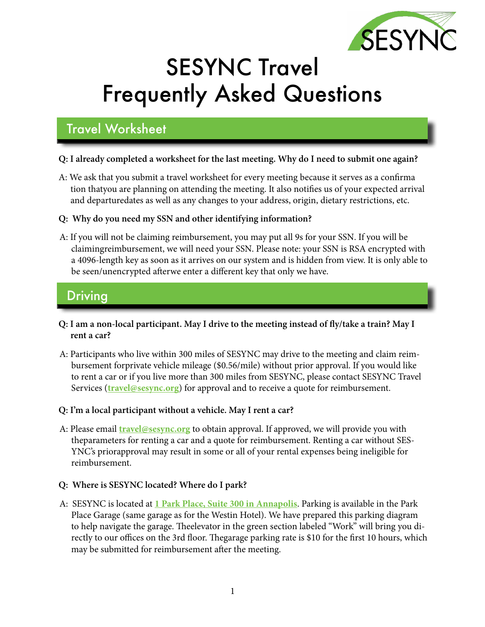

# SESYNC Travel Frequently Asked Questions

# Travel Worksheet

### **Q: I already completed a worksheet for the last meeting. Why do I need to submit one again?**

A: We ask that you submit a travel worksheet for every meeting because it serves as a confirma tion thatyou are planning on attending the meeting. It also notifies us of your expected arrival and departuredates as well as any changes to your address, origin, dietary restrictions, etc.

### **Q: Why do you need my SSN and other identifying information?**

A: If you will not be claiming reimbursement, you may put all 9s for your SSN. If you will be claimingreimbursement, we will need your SSN. Please note: your SSN is RSA encrypted with a 4096-length key as soon as it arrives on our system and is hidden from view. It is only able to be seen/unencrypted afterwe enter a different key that only we have.

### Driving

- **Q: I am a non-local participant. May I drive to the meeting instead of fly/take a train? May I rent a car?**
- A: Participants who live within 300 miles of SESYNC may drive to the meeting and claim reimbursement forprivate vehicle mileage (\$0.56/mile) without prior approval. If you would like to rent a car or if you live more than 300 miles from SESYNC, please contact SESYNC Travel Services (**[travel@sesync.org](mailto:travel%40sesync.org?subject=)**) for approval and to receive a quote for reimbursement.

### **Q: I'm a local participant without a vehicle. May I rent a car?**

A: Please email **[travel@sesync.org](mailto:travel@sesync.org)** to obtain approval. If approved, we will provide you with theparameters for renting a car and a quote for reimbursement. Renting a car without SES-YNC's priorapproval may result in some or all of your rental expenses being ineligible for reimbursement.

### **Q: Where is SESYNC located? Where do I park?**

A: SESYNC is located at **[1 Park Place, Suite 300 in Annapolis](https://goo.gl/maps/ZAgz6wNKBqwXQvqeA)**. Parking is available in the Park Place Garage (same garage as for the Westin Hotel). We have prepared this parking diagram to help navigate the garage. Theelevator in the green section labeled "Work" will bring you directly to our offices on the 3rd floor. Thegarage parking rate is \$10 for the first 10 hours, which may be submitted for reimbursement after the meeting.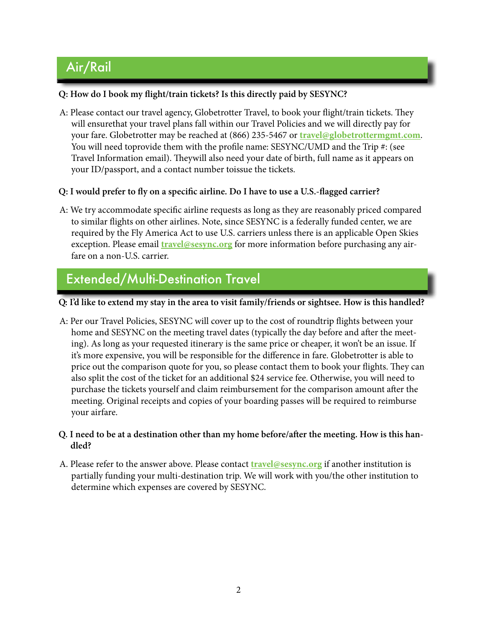# Air/Rail

### **Q: How do I book my flight/train tickets? Is this directly paid by SESYNC?**

- A: Please contact our travel agency, Globetrotter Travel, to book your flight/train tickets. They will ensurethat your travel plans fall within our Travel Policies and we will directly pay for your fare. Globetrotter may be reached at (866) 235-5467 or **[travel@globetrottermgmt.com](mailto:travel@globetrottermgmt.com)**. You will need toprovide them with the profile name: SESYNC/UMD and the Trip #: (see Travel Information email). Theywill also need your date of birth, full name as it appears on your ID/passport, and a contact number toissue the tickets.
- **Q: I would prefer to fly on a specific airline. Do I have to use a U.S.-flagged carrier?**
- A: We try accommodate specific airline requests as long as they are reasonably priced compared to similar flights on other airlines. Note, since SESYNC is a federally funded center, we are required by the Fly America Act to use U.S. carriers unless there is an applicable Open Skies exception. Please email **[travel@sesync.org](mailto:travel@sesync.org)** for more information before purchasing any airfare on a non-U.S. carrier.

### Extended/Multi-Destination Travel

### **Q: I'd like to extend my stay in the area to visit family/friends or sightsee. How is this handled?**

A: Per our Travel Policies, SESYNC will cover up to the cost of roundtrip flights between your home and SESYNC on the meeting travel dates (typically the day before and after the meeting). As long as your requested itinerary is the same price or cheaper, it won't be an issue. If it's more expensive, you will be responsible for the difference in fare. Globetrotter is able to price out the comparison quote for you, so please contact them to book your flights. They can also split the cost of the ticket for an additional \$24 service fee. Otherwise, you will need to purchase the tickets yourself and claim reimbursement for the comparison amount after the meeting. Original receipts and copies of your boarding passes will be required to reimburse your airfare.

#### **Q. I need to be at a destination other than my home before/after the meeting. How is this handled?**

A. Please refer to the answer above. Please contact **[travel@sesync.org](mailto:travel@sesync.org)** if another institution is partially funding your multi-destination trip. We will work with you/the other institution to determine which expenses are covered by SESYNC.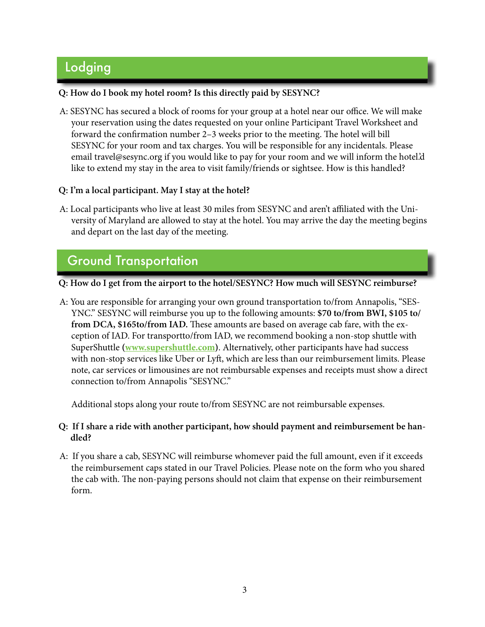# Lodging

#### **Q: How do I book my hotel room? Is this directly paid by SESYNC?**

A: SESYNC has secured a block of rooms for your group at a hotel near our office. We will make your reservation using the dates requested on your online Participant Travel Worksheet and forward the confirmation number 2–3 weeks prior to the meeting. The hotel will bill SESYNC for your room and tax charges. You will be responsible for any incidentals. Please email travel@sesync.org if you would like to pay for your room and we will inform the hotel.'d like to extend my stay in the area to visit family/friends or sightsee. How is this handled?

#### **Q: I'm a local participant. May I stay at the hotel?**

A: Local participants who live at least 30 miles from SESYNC and aren't affiliated with the University of Maryland are allowed to stay at the hotel. You may arrive the day the meeting begins and depart on the last day of the meeting.

# Ground Transportation

**Q: How do I get from the airport to the hotel/SESYNC? How much will SESYNC reimburse?**

A: You are responsible for arranging your own ground transportation to/from Annapolis, "SES-YNC." SESYNC will reimburse you up to the following amounts: **\$70 to/from BWI, \$105 to/ from DCA, \$165to/from IAD.** These amounts are based on average cab fare, with the exception of IAD. For transportto/from IAD, we recommend booking a non-stop shuttle with SuperShuttle **[\(www.supershuttle.com\)](https://www.supershuttle.com/)**. Alternatively, other participants have had success with non-stop services like Uber or Lyft, which are less than our reimbursement limits. Please note, car services or limousines are not reimbursable expenses and receipts must show a direct connection to/from Annapolis "SESYNC."

Additional stops along your route to/from SESYNC are not reimbursable expenses.

#### **Q: If I share a ride with another participant, how should payment and reimbursement be handled?**

A: If you share a cab, SESYNC will reimburse whomever paid the full amount, even if it exceeds the reimbursement caps stated in our Travel Policies. Please note on the form who you shared the cab with. The non-paying persons should not claim that expense on their reimbursement form.